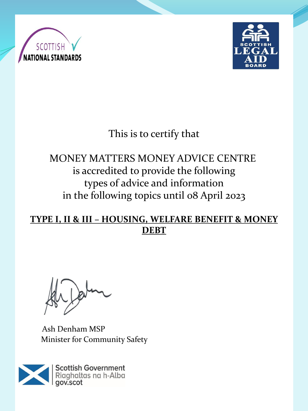



# This is to certify that

# MONEY MATTERS MONEY ADVICE CENTRE is accredited to provide the following types of advice and information in the following topics until 08 April 2023

#### **TYPE I, II & III – HOUSING, WELFARE BENEFIT & MONEY DEBT**

Ash Denham MSP Minister for Community Safety

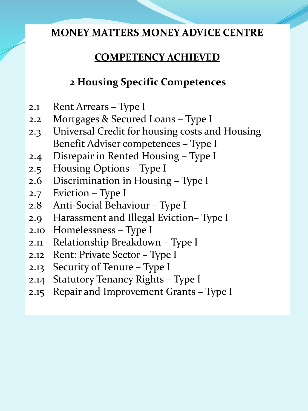#### **COMPETENCY ACHIEVED**

## **2 Housing Specific Competences**

- 2.1 Rent Arrears Type I
- 2.2 Mortgages & Secured Loans Type I
- 2.3 Universal Credit for housing costs and Housing Benefit Adviser competences – Type I
- 2.4 Disrepair in Rented Housing Type I
- 2.5 Housing Options Type I
- 2.6 Discrimination in Housing Type I
- 2.7 Eviction Type I
- 2.8 Anti-Social Behaviour Type I
- 2.9 Harassment and Illegal Eviction– Type I
- 2.10 Homelessness Type I
- 2.11 Relationship Breakdown Type I
- 2.12 Rent: Private Sector Type I
- 2.13 Security of Tenure Type I
- 2.14 Statutory Tenancy Rights Type I
- 2.15 Repair and Improvement Grants Type I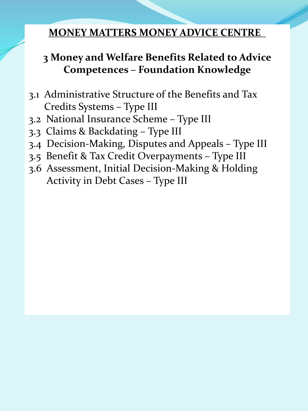## **3 Money and Welfare Benefits Related to Advice Competences – Foundation Knowledge**

- 3.1 Administrative Structure of the Benefits and Tax Credits Systems – Type III
- 3.2 National Insurance Scheme Type III
- 3.3 Claims & Backdating Type III
- 3.4 Decision-Making, Disputes and Appeals Type III
- 3.5 Benefit & Tax Credit Overpayments Type III
- 3.6 Assessment, Initial Decision-Making & Holding Activity in Debt Cases – Type III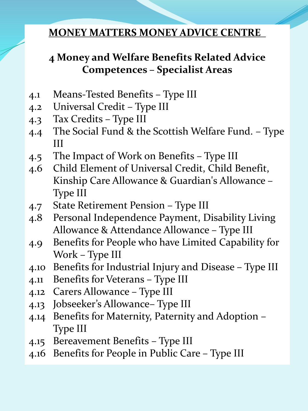## **4 Money and Welfare Benefits Related Advice Competences – Specialist Areas**

- 4.1 Means-Tested Benefits Type III
- 4.2 Universal Credit Type III
- 4.3 Tax Credits Type III
- 4.4 The Social Fund & the Scottish Welfare Fund. Type III
- 4.5 The Impact of Work on Benefits Type III
- 4.6 Child Element of Universal Credit, Child Benefit, Kinship Care Allowance & Guardian's Allowance – Type III
- 4.7 State Retirement Pension Type III
- 4.8 Personal Independence Payment, Disability Living Allowance & Attendance Allowance – Type III
- 4.9 Benefits for People who have Limited Capability for Work – Type III
- 4.10 Benefits for Industrial Injury and Disease Type III
- 4.11 Benefits for Veterans Type III
- 4.12 Carers Allowance Type III
- 4.13 Jobseeker's Allowance– Type III
- 4.14 Benefits for Maternity, Paternity and Adoption Type III
- 4.15 Bereavement Benefits Type III
- 4.16 Benefits for People in Public Care Type III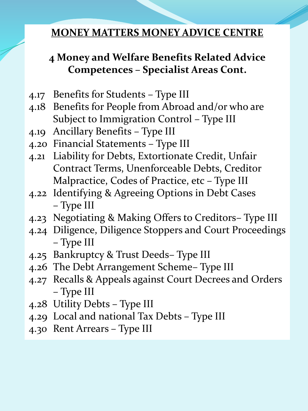## **4 Money and Welfare Benefits Related Advice Competences – Specialist Areas Cont.**

- 4.17 Benefits for Students Type III
- 4.18 Benefits for People from Abroad and/or who are Subject to Immigration Control – Type III
- 4.19 Ancillary Benefits Type III
- 4.20 Financial Statements Type III
- 4.21 Liability for Debts, Extortionate Credit, Unfair Contract Terms, Unenforceable Debts, Creditor Malpractice, Codes of Practice, etc – Type III
- 4.22 Identifying & Agreeing Options in Debt Cases – Type III
- 4.23 Negotiating & Making Offers to Creditors– Type III
- 4.24 Diligence, Diligence Stoppers and Court Proceedings – Type III
- 4.25 Bankruptcy & Trust Deeds– Type III
- 4.26 The Debt Arrangement Scheme– Type III
- 4.27 Recalls & Appeals against Court Decrees and Orders – Type III
- 4.28 Utility Debts Type III
- 4.29 Local and national Tax Debts Type III
- 4.30 Rent Arrears Type III